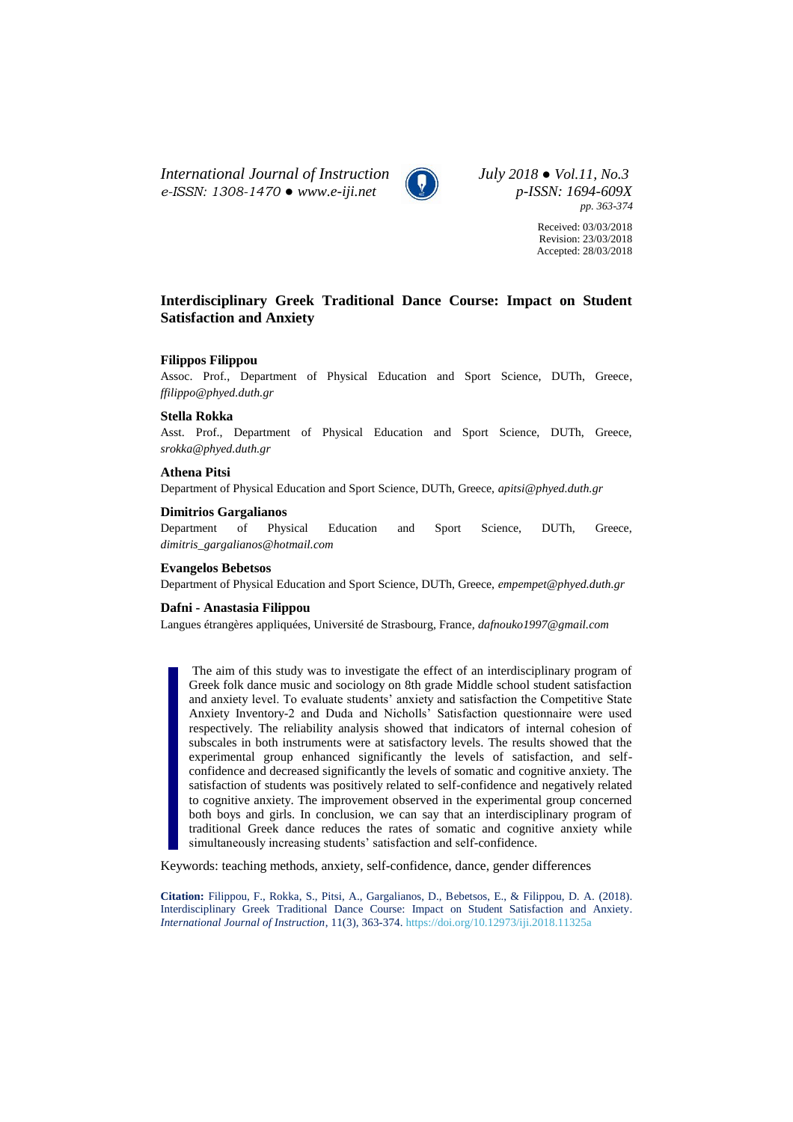*International Journal of Instruction July 2018 ● Vol.11, No.3 e-ISSN: 1308-1470 ● [www.e-iji.net](http://www.e-iji.net/) p-ISSN: 1694-609X*



*pp. 363-374*

Received: 03/03/2018 Revision: 23/03/2018 Accepted: 28/03/2018

# **Interdisciplinary Greek Traditional Dance Course: Impact on Student Satisfaction and Anxiety**

## **Filippos Filippou**

Assoc. Prof., Department of Physical Education and Sport Science, DUTh, Greece, *ffilippo@phyed.duth.gr*

#### **Stella Rokka**

Asst. Prof., Department of Physical Education and Sport Science, DUTh, Greece, *srokka@phyed.duth.gr*

## **Athena Pitsi**

Department of Physical Education and Sport Science, DUTh, Greece, *apitsi@phyed.duth.gr*

### **Dimitrios Gargalianos**

Department of Physical Education and Sport Science, DUTh, Greece, *dimitris\_gargalianos@hotmail.com*

### **Evangelos Bebetsos**

Department of Physical Education and Sport Science, DUTh, Greece, *empempet@phyed.duth.gr*

### **Dafni - Anastasia Filippou**

Langues étrangères appliquées, Université de Strasbourg, France, *dafnouko1997@gmail.com*

The aim of this study was to investigate the effect of an interdisciplinary program of Greek folk dance music and sociology on 8th grade Middle school student satisfaction and anxiety level. To evaluate students' anxiety and satisfaction the Competitive State Anxiety Inventory-2 and Duda and Nicholls' Satisfaction questionnaire were used respectively. The reliability analysis showed that indicators of internal cohesion of subscales in both instruments were at satisfactory levels. The results showed that the experimental group enhanced significantly the levels of satisfaction, and selfconfidence and decreased significantly the levels of somatic and cognitive anxiety. The satisfaction of students was positively related to self-confidence and negatively related to cognitive anxiety. The improvement observed in the experimental group concerned both boys and girls. In conclusion, we can say that an interdisciplinary program of traditional Greek dance reduces the rates of somatic and cognitive anxiety while simultaneously increasing students' satisfaction and self-confidence.

Keywords: teaching methods, anxiety, self-confidence, dance, gender differences

**Citation:** Filippou, F., Rokka, S., Pitsi, A., Gargalianos, D., Bebetsos, E., & Filippou, D. A. (2018). Interdisciplinary Greek Traditional Dance Course: Impact on Student Satisfaction and Anxiety. *International Journal of Instruction*, 11(3), 363-374. <https://doi.org/10.12973/iji.2018.11325a>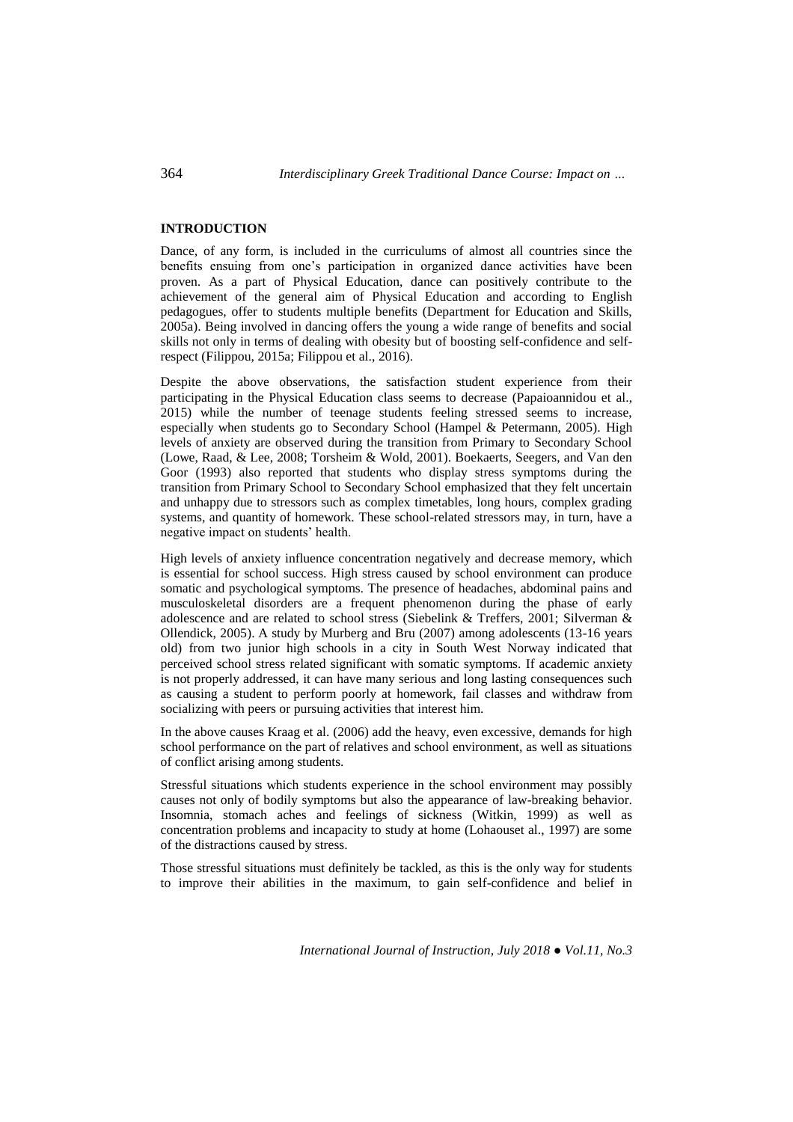### **INTRODUCTION**

Dance, of any form, is included in the curriculums of almost all countries since the benefits ensuing from one's participation in organized dance activities have been proven. As a part of Physical Education, dance can positively contribute to the achievement of the general aim of Physical Education and according to English pedagogues, offer to students multiple benefits (Department for Education and Skills, 2005a). Being involved in dancing offers the young a wide range of benefits and social skills not only in terms of dealing with obesity but of boosting self-confidence and selfrespect (Filippou, 2015a; Filippou et al., 2016).

Despite the above observations, the satisfaction student experience from their participating in the Physical Education class seems to decrease (Papaioannidou et al., 2015) while the number of teenage students feeling stressed seems to increase, especially when students go to Secondary School (Hampel & Petermann, 2005). High levels of anxiety are observed during the transition from Primary to Secondary School (Lowe, Raad, & Lee, 2008; Torsheim & Wold, 2001). Boekaerts, Seegers, and Van den Goor (1993) also reported that students who display stress symptoms during the transition from Primary School to Secondary School emphasized that they felt uncertain and unhappy due to stressors such as complex timetables, long hours, complex grading systems, and quantity of homework. These school-related stressors may, in turn, have a negative impact on students' health.

High levels of anxiety influence concentration negatively and decrease memory, which is essential for school success. High stress caused by school environment can produce somatic and psychological symptoms. The presence of headaches, abdominal pains and musculoskeletal disorders are a frequent phenomenon during the phase of early adolescence and are related to school stress (Siebelink & Treffers, 2001; Silverman & Ollendick, 2005). A study by Murberg and Bru (2007) among adolescents (13-16 years old) from two junior high schools in a city in South West Norway indicated that perceived school stress related significant with somatic symptoms. If academic anxiety is not properly addressed, it can have many serious and long lasting consequences such as causing a student to perform poorly at homework, fail classes and withdraw from socializing with peers or pursuing activities that interest him.

In the above causes Kraag et al. (2006) add the heavy, even excessive, demands for high school performance on the part of relatives and school environment, as well as situations of conflict arising among students.

Stressful situations which students experience in the school environment may possibly causes not only of bodily symptoms but also the appearance of law-breaking behavior. Insomnia, stomach aches and feelings of sickness (Witkin, 1999) as well as concentration problems and incapacity to study at home (Lohaouset al., 1997) are some of the distractions caused by stress.

Those stressful situations must definitely be tackled, as this is the only way for students to improve their abilities in the maximum, to gain self-confidence and belief in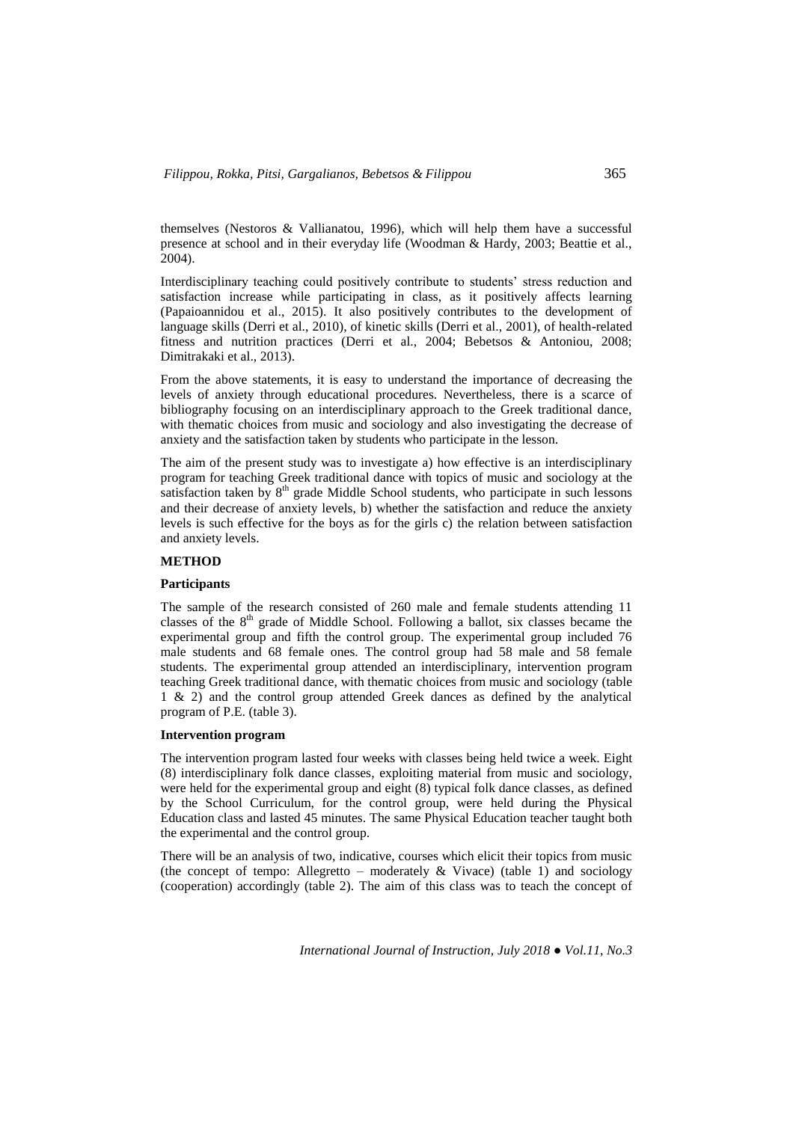themselves (Nestoros & Vallianatou, 1996), which will help them have a successful presence at school and in their everyday life (Woodman & Hardy, 2003; Beattie et al., 2004).

Interdisciplinary teaching could positively contribute to students' stress reduction and satisfaction increase while participating in class, as it positively affects learning (Papaioannidou et al., 2015). It also positively contributes to the development of language skills (Derri et al., 2010), of kinetic skills (Derri et al., 2001), of health-related fitness and nutrition practices (Derri et al., 2004; Bebetsos & Antoniou, 2008; Dimitrakaki et al., 2013).

From the above statements, it is easy to understand the importance of decreasing the levels of anxiety through educational procedures. Nevertheless, there is a scarce of bibliography focusing on an interdisciplinary approach to the Greek traditional dance, with thematic choices from music and sociology and also investigating the decrease of anxiety and the satisfaction taken by students who participate in the lesson.

The aim of the present study was to investigate a) how effective is an interdisciplinary program for teaching Greek traditional dance with topics of music and sociology at the satisfaction taken by  $8<sup>th</sup>$  grade Middle School students, who participate in such lessons and their decrease of anxiety levels, b) whether the satisfaction and reduce the anxiety levels is such effective for the boys as for the girls c) the relation between satisfaction and anxiety levels.

## **METHOD**

### **Participants**

The sample of the research consisted of 260 male and female students attending 11 classes of the  $8<sup>th</sup>$  grade of Middle School. Following a ballot, six classes became the experimental group and fifth the control group. The experimental group included 76 male students and 68 female ones. The control group had 58 male and 58 female students. The experimental group attended an interdisciplinary, intervention program teaching Greek traditional dance, with thematic choices from music and sociology (table 1 & 2) and the control group attended Greek dances as defined by the analytical program of P.E. (table 3).

#### **Intervention program**

The intervention program lasted four weeks with classes being held twice a week. Eight (8) interdisciplinary folk dance classes, exploiting material from music and sociology, were held for the experimental group and eight (8) typical folk dance classes, as defined by the School Curriculum, for the control group, were held during the Physical Education class and lasted 45 minutes. The same Physical Education teacher taught both the experimental and the control group.

There will be an analysis of two, indicative, courses which elicit their topics from music (the concept of tempo: Allegretto – moderately  $& Vivace$ ) (table 1) and sociology (cooperation) accordingly (table 2). The aim of this class was to teach the concept of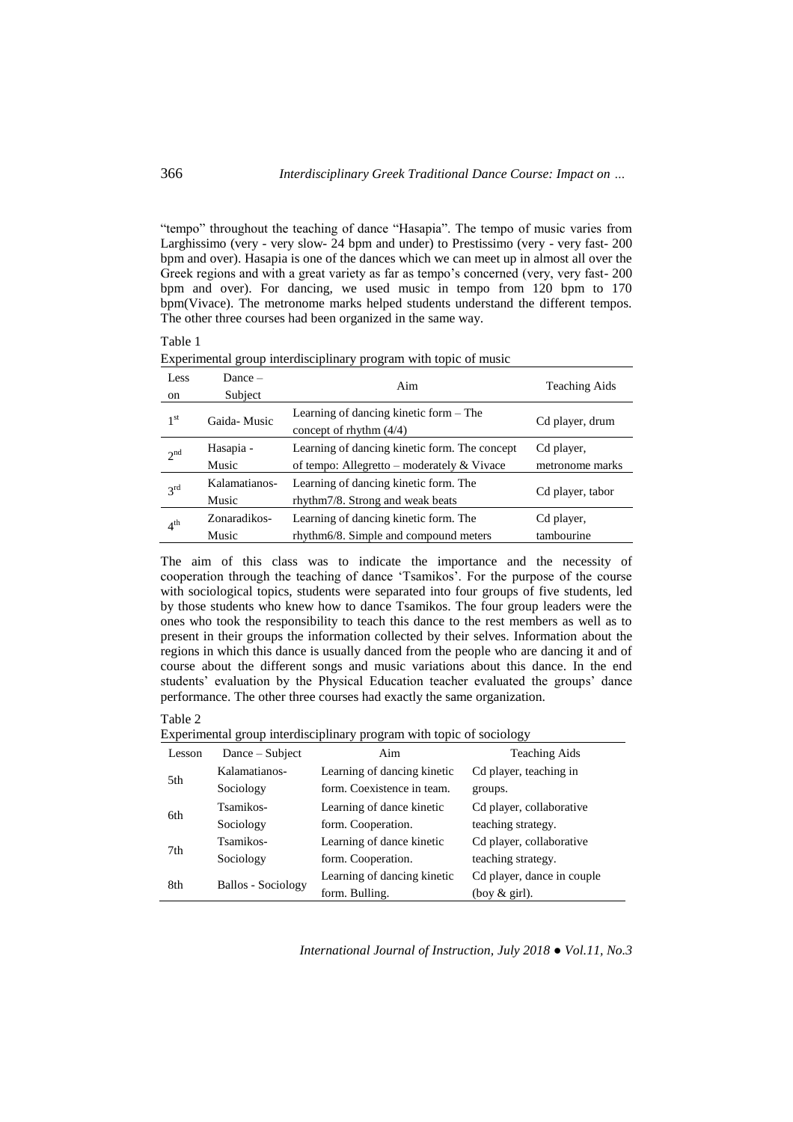"tempo" throughout the teaching of dance "Hasapia". The tempo of music varies from Larghissimo (very - very slow- 24 bpm and under) to Prestissimo (very - very fast- 200 bpm and over). Hasapia is one of the dances which we can meet up in almost all over the Greek regions and with a great variety as far as tempo's concerned (very, very fast- 200 bpm and over). For dancing, we used music in tempo from 120 bpm to 170 bpm(Vivace). The metronome marks helped students understand the different tempos. The other three courses had been organized in the same way.

## Table 1

| Less<br>on      | $Dance -$<br>Subject   | Aim                                                                                                  | <b>Teaching Aids</b>          |
|-----------------|------------------------|------------------------------------------------------------------------------------------------------|-------------------------------|
| 1 <sup>st</sup> | Gaida-Music            | Learning of dancing kinetic form $-$ The<br>concept of rhythm $(4/4)$                                | Cd player, drum               |
| 2 <sup>nd</sup> | Hasapia -<br>Music     | Learning of dancing kinetic form. The concept<br>of tempo: Allegretto – moderately $& \text{Vivace}$ | Cd player,<br>metronome marks |
| $3^{\text{rd}}$ | Kalamatianos-<br>Music | Learning of dancing kinetic form. The<br>rhythm7/8. Strong and weak beats                            | Cd player, tabor              |
| $4^{\text{th}}$ | Zonaradikos-<br>Music  | Learning of dancing kinetic form. The<br>rhythm6/8. Simple and compound meters                       | Cd player,<br>tambourine      |

Experimental group interdisciplinary program with topic of music

The aim of this class was to indicate the importance and the necessity of cooperation through the teaching of dance 'Tsamikos'. For the purpose of the course with sociological topics, students were separated into four groups of five students, led by those students who knew how to dance Tsamikos. The four group leaders were the ones who took the responsibility to teach this dance to the rest members as well as to present in their groups the information collected by their selves. Information about the regions in which this dance is usually danced from the people who are dancing it and of course about the different songs and music variations about this dance. In the end students' evaluation by the Physical Education teacher evaluated the groups' dance performance. The other three courses had exactly the same organization.

### Table 2

Experimental group interdisciplinary program with topic of sociology

| Lesson | Dance – Subject           | Aim                         | <b>Teaching Aids</b>       |
|--------|---------------------------|-----------------------------|----------------------------|
| 5th    | Kalamatianos-             | Learning of dancing kinetic | Cd player, teaching in     |
|        | Sociology                 | form. Coexistence in team.  | groups.                    |
| 6th    | Tsamikos-                 | Learning of dance kinetic   | Cd player, collaborative   |
|        | Sociology                 | form. Cooperation.          | teaching strategy.         |
| 7th    | Tsamikos-                 | Learning of dance kinetic   | Cd player, collaborative   |
|        | Sociology                 | form. Cooperation.          | teaching strategy.         |
| 8th    | <b>Ballos - Sociology</b> | Learning of dancing kinetic | Cd player, dance in couple |
|        |                           | form. Bulling.              | (boy $&$ girl).            |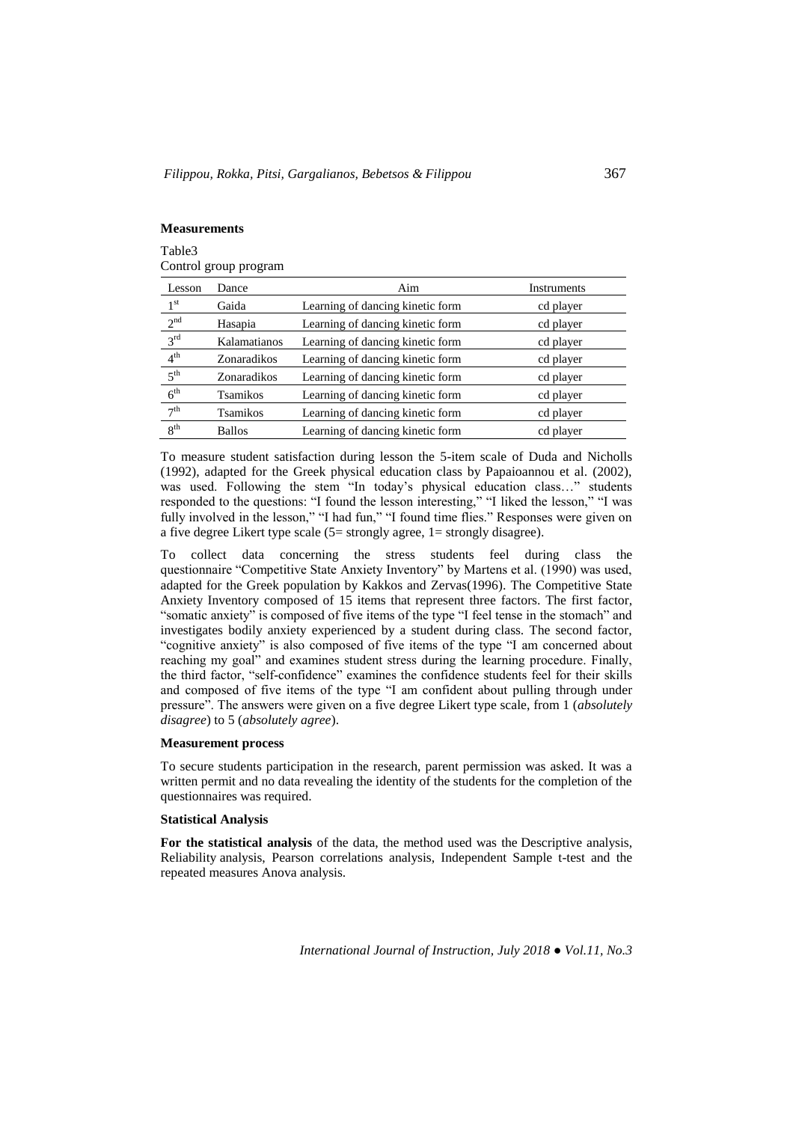# **Measurements**

Table3 Control group program

| Lesson          | Dance         | Aim                              | Instruments |
|-----------------|---------------|----------------------------------|-------------|
| 1 <sup>st</sup> | Gaida         | Learning of dancing kinetic form | cd player   |
| $2^{\rm nd}$    | Hasapia       | Learning of dancing kinetic form | cd player   |
| $3^{\text{rd}}$ | Kalamatianos  | Learning of dancing kinetic form | cd player   |
| $4^{\text{th}}$ | Zonaradikos   | Learning of dancing kinetic form | cd player   |
| $5^{\text{th}}$ | Zonaradikos   | Learning of dancing kinetic form | cd player   |
| 6 <sup>th</sup> | Tsamikos      | Learning of dancing kinetic form | cd player   |
| 7 <sup>th</sup> | Tsamikos      | Learning of dancing kinetic form | cd player   |
| 8 <sup>th</sup> | <b>Ballos</b> | Learning of dancing kinetic form | cd player   |

To measure student satisfaction during lesson the 5-item scale of Duda and Nicholls (1992), adapted for the Greek physical education class by Papaioannou et al. (2002), was used. Following the stem "In today's physical education class…" students responded to the questions: "I found the lesson interesting," "I liked the lesson," "I was fully involved in the lesson," "I had fun," "I found time flies." Responses were given on a five degree Likert type scale (5= strongly agree, 1= strongly disagree).

To collect data concerning the stress students feel during class the questionnaire "Competitive State Anxiety Inventory" by Martens et al. (1990) was used, adapted for the Greek population by Kakkos and Zervas(1996). The Competitive State Anxiety Inventory composed of 15 items that represent three factors. The first factor, "somatic anxiety" is composed of five items of the type "I feel tense in the stomach" and investigates bodily anxiety experienced by a student during class. The second factor, "cognitive anxiety" is also composed of five items of the type "I am concerned about reaching my goal" and examines student stress during the learning procedure. Finally, the third factor, "self-confidence" examines the confidence students feel for their skills and composed of five items of the type "I am confident about pulling through under pressure". The answers were given on a five degree Likert type scale, from 1 (*absolutely disagree*) to 5 (*absolutely agree*).

### **Measurement process**

To secure students participation in the research, parent permission was asked. It was a written permit and no data revealing the identity of the students for the completion of the questionnaires was required.

## **Statistical Analysis**

**For the statistical analysis** of the data, the method used was the Descriptive analysis, Reliability analysis, Pearson correlations analysis, Independent Sample t-test and the repeated measures Anova analysis.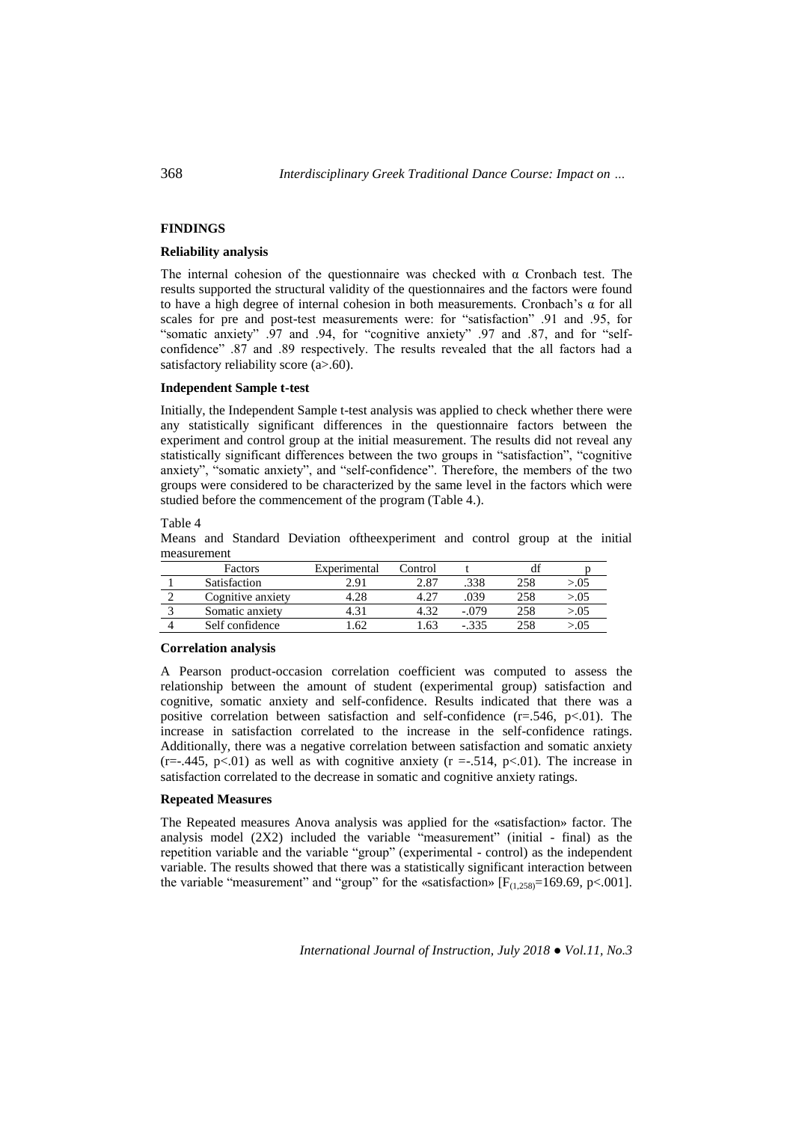## **FINDINGS**

# **Reliability analysis**

The internal cohesion of the questionnaire was checked with α Cronbach test. The results supported the structural validity of the questionnaires and the factors were found to have a high degree of internal cohesion in both measurements. Cronbach's α for all scales for pre and post-test measurements were: for "satisfaction" .91 and .95, for "somatic anxiety" .97 and .94, for "cognitive anxiety" .97 and .87, and for "selfconfidence" .87 and .89 respectively. The results revealed that the all factors had a satisfactory reliability score (a>.60).

#### **Independent Sample t-test**

Initially, the Independent Sample t-test analysis was applied to check whether there were any statistically significant differences in the questionnaire factors between the experiment and control group at the initial measurement. The results did not reveal any statistically significant differences between the two groups in "satisfaction", "cognitive anxiety", "somatic anxiety", and "self-confidence". Therefore, the members of the two groups were considered to be characterized by the same level in the factors which were studied before the commencement of the program (Table 4.).

Table 4

Means and Standard Deviation oftheexperiment and control group at the initial measurement

| Factors           | Experimental | Control |       |     |             |
|-------------------|--------------|---------|-------|-----|-------------|
| Satisfaction      | 2 Q 1        | 2.87    | .338  | 258 | 05.<        |
| Cognitive anxiety |              |         | 039   | 258 | > 0.05      |
| Somatic anxiety   |              |         | - 079 | 258 | > 0.05      |
| Self confidence   |              | .63     |       | 258 | $\cdot .05$ |

#### **Correlation analysis**

A Pearson product-occasion correlation coefficient was computed to assess the relationship between the amount of student (experimental group) satisfaction and cognitive, somatic anxiety and self-confidence. Results indicated that there was a positive correlation between satisfaction and self-confidence  $(r=.546, p<.01)$ . The increase in satisfaction correlated to the increase in the self-confidence ratings. Additionally, there was a negative correlation between satisfaction and somatic anxiety  $(r=-.445, p<.01)$  as well as with cognitive anxiety  $(r=-.514, p<.01)$ . The increase in satisfaction correlated to the decrease in somatic and cognitive anxiety ratings.

## **Repeated Measures**

The Repeated measures Anova analysis was applied for the «satisfaction» factor. The analysis model (2X2) included the variable "measurement" (initial - final) as the repetition variable and the variable "group" (experimental - control) as the independent variable. The results showed that there was a statistically significant interaction between the variable "measurement" and "group" for the «satisfaction»  $[F_{(1,258)}=169.69, p<.001]$ .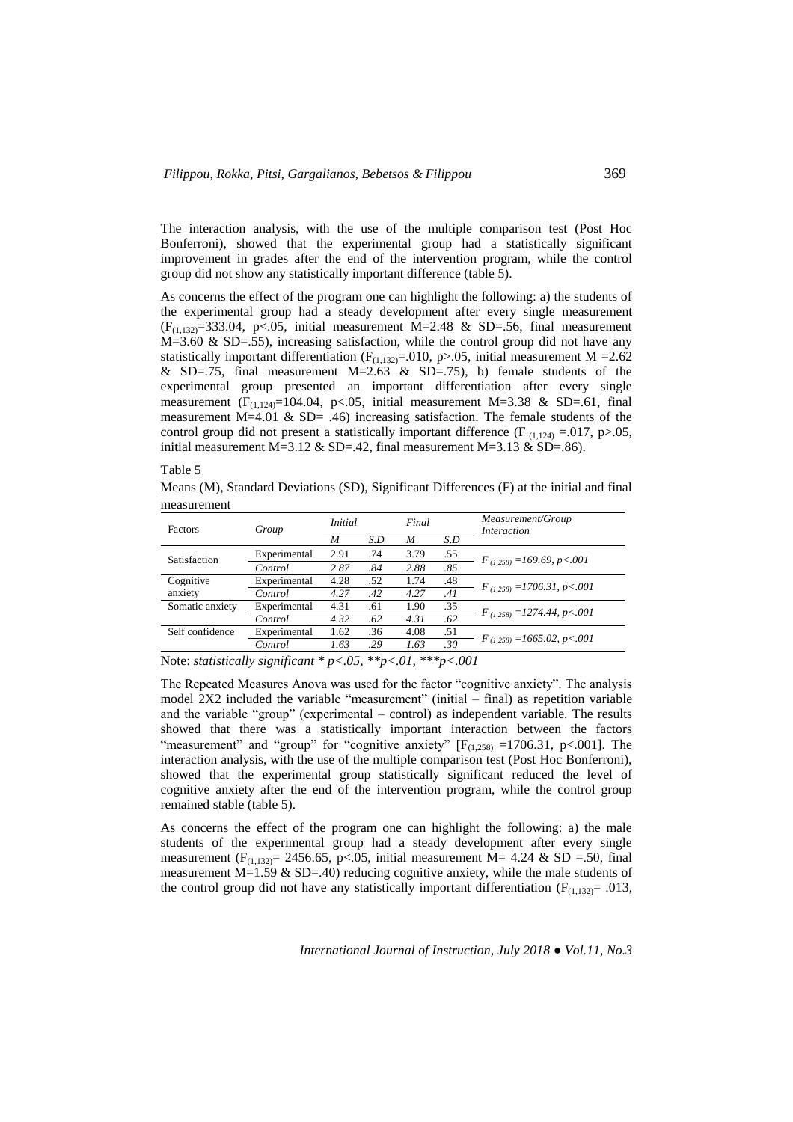The interaction analysis, with the use of the multiple comparison test (Post Hoc Bonferroni), showed that the experimental group had a statistically significant improvement in grades after the end of the intervention program, while the control group did not show any statistically important difference (table 5).

As concerns the effect of the program one can highlight the following: a) the students of the experimental group had a steady development after every single measurement  $(F<sub>(1,132)</sub> = 333.04, p<.05,$  initial measurement M=2.48 & SD=.56, final measurement  $M=3.60 \& SD=0.55$ , increasing satisfaction, while the control group did not have any statistically important differentiation ( $F_{(1,132)}$ =.010, p>.05, initial measurement M =2.62 & SD=.75, final measurement M=2.63 & SD=.75), b) female students of the experimental group presented an important differentiation after every single measurement ( $F_{(1,124)}$ =104.04, p<.05, initial measurement M=3.38 & SD=.61, final measurement M=4.01 & SD= .46) increasing satisfaction. The female students of the control group did not present a statistically important difference (F  $_{(1,124)} = .017$ , p>.05, initial measurement M=3.12 & SD=.42, final measurement M=3.13 & SD=.86).

Table 5

Means (M), Standard Deviations (SD), Significant Differences (F) at the initial and final measurement

| Factors                                                                                                                                                                                                                                                                                                                                                                                                                                 | Group        | <i>Initial</i> |     | Final |     | Measurement/Group<br><i>Interaction</i> |  |
|-----------------------------------------------------------------------------------------------------------------------------------------------------------------------------------------------------------------------------------------------------------------------------------------------------------------------------------------------------------------------------------------------------------------------------------------|--------------|----------------|-----|-------|-----|-----------------------------------------|--|
|                                                                                                                                                                                                                                                                                                                                                                                                                                         |              | M              | S.D | M     | S.D |                                         |  |
| Satisfaction                                                                                                                                                                                                                                                                                                                                                                                                                            | Experimental | 2.91           | .74 | 3.79  | .55 | $F_{(1,258)} = 169.69, p < .001$        |  |
|                                                                                                                                                                                                                                                                                                                                                                                                                                         | Control      | 2.87           | .84 | 2.88  | .85 |                                         |  |
| Cognitive                                                                                                                                                                                                                                                                                                                                                                                                                               | Experimental | 4.28           | .52 | 1.74  | .48 | $F_{(1,258)} = 1706.31, p < .001$       |  |
| anxiety                                                                                                                                                                                                                                                                                                                                                                                                                                 | Control      | 4.27           | .42 | 4.27  | .41 |                                         |  |
| Somatic anxiety                                                                                                                                                                                                                                                                                                                                                                                                                         | Experimental | 4.31           | .61 | 1.90  | .35 |                                         |  |
|                                                                                                                                                                                                                                                                                                                                                                                                                                         | Control      | 4.32           | .62 | 4.31  | .62 | $F_{(1,258)} = 1274.44, p < .001$       |  |
| Self confidence                                                                                                                                                                                                                                                                                                                                                                                                                         | Experimental | 1.62           | .36 | 4.08  | .51 | $F_{(1,258)} = 1665.02, p < .001$       |  |
|                                                                                                                                                                                                                                                                                                                                                                                                                                         | Control      | 1.63           | .29 | 1.63  | .30 |                                         |  |
| $\cdot$ $\sim$<br>$\mathcal{A}$ $\mathcal{A}$ $\mathcal{A}$ $\mathcal{A}$ $\mathcal{A}$ $\mathcal{A}$ $\mathcal{A}$ $\mathcal{A}$ $\mathcal{A}$ $\mathcal{A}$ $\mathcal{A}$ $\mathcal{A}$ $\mathcal{A}$ $\mathcal{A}$ $\mathcal{A}$ $\mathcal{A}$ $\mathcal{A}$ $\mathcal{A}$ $\mathcal{A}$ $\mathcal{A}$ $\mathcal{A}$ $\mathcal{A}$ $\mathcal{A}$ $\mathcal{A}$ $\mathcal{$<br>$\mathbf{H}$<br>$\mathbf{r}$ . The set of $\mathbf{r}$ |              |                |     |       |     |                                         |  |

Note: *statistically significant \* p<.05, \*\*p<.01, \*\*\*p<.001*

The Repeated Measures Anova was used for the factor "cognitive anxiety". The analysis model  $2X2$  included the variable "measurement" (initial – final) as repetition variable and the variable "group" (experimental – control) as independent variable. The results showed that there was a statistically important interaction between the factors "measurement" and "group" for "cognitive anxiety"  $[F<sub>(1,258)</sub> = 1706.31, p<.001]$ . The interaction analysis, with the use of the multiple comparison test (Post Hoc Bonferroni), showed that the experimental group statistically significant reduced the level of cognitive anxiety after the end of the intervention program, while the control group remained stable (table 5).

As concerns the effect of the program one can highlight the following: a) the male students of the experimental group had a steady development after every single measurement (F<sub>(1,132)</sub> = 2456.65, p < 0.05, initial measurement M = 4.24 & SD = 50, final measurement  $M=1.59 \& SD=.40$ ) reducing cognitive anxiety, while the male students of the control group did not have any statistically important differentiation ( $F_{(1,132)} = .013$ ,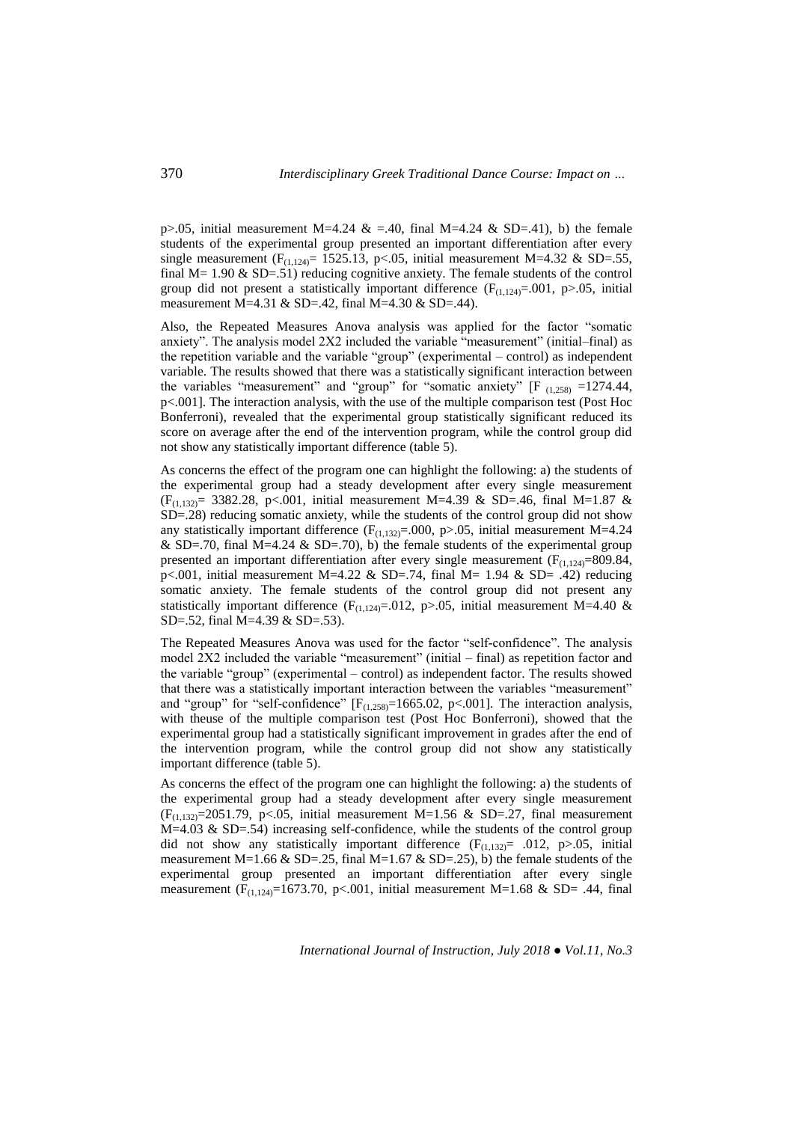p>.05, initial measurement M=4.24 & =.40, final M=4.24 & SD=.41), b) the female students of the experimental group presented an important differentiation after every single measurement ( $F_{(1,124)} = 1525.13$ , p<.05, initial measurement M=4.32 & SD=.55, final  $M= 1.90 \& SD=.51$ ) reducing cognitive anxiety. The female students of the control group did not present a statistically important difference  $(F_{(1,124)}=0.01, p>0.05, \text{initial}$ measurement M=4.31 & SD=.42, final M=4.30 & SD=.44).

Also, the Repeated Measures Anova analysis was applied for the factor "somatic anxiety". The analysis model 2X2 included the variable "measurement" (initial–final) as the repetition variable and the variable "group" (experimental – control) as independent variable. The results showed that there was a statistically significant interaction between the variables "measurement" and "group" for "somatic anxiety" [F  $_{(1,258)}$  =1274.44, p<.001]. The interaction analysis, with the use of the multiple comparison test (Post Hoc Bonferroni), revealed that the experimental group statistically significant reduced its score on average after the end of the intervention program, while the control group did not show any statistically important difference (table 5).

As concerns the effect of the program one can highlight the following: a) the students of the experimental group had a steady development after every single measurement  $(F<sub>(1,132)</sub> = 3382.28, p<.001, initial measurement M=4.39 & SD=.46, final M=1.87 &$ SD=.28) reducing somatic anxiety, while the students of the control group did not show any statistically important difference ( $F_{(1,132)} = .000$ , p>.05, initial measurement M=4.24 & SD=.70, final M=4.24 & SD=.70), b) the female students of the experimental group presented an important differentiation after every single measurement  $(F<sub>(1,124)</sub>=809.84,$ p<.001, initial measurement M=4.22 & SD=.74, final M= 1.94 & SD= .42) reducing somatic anxiety. The female students of the control group did not present any statistically important difference (F<sub>(1,124)</sub>=.012, p>.05, initial measurement M=4.40 & SD=.52, final M=4.39 & SD=.53).

The Repeated Measures Anova was used for the factor "self-confidence". The analysis model 2X2 included the variable "measurement" (initial – final) as repetition factor and the variable "group" (experimental – control) as independent factor. The results showed that there was a statistically important interaction between the variables "measurement" and "group" for "self-confidence"  $[F_{(1,258)}=1665.02, p<.001]$ . The interaction analysis, with theuse of the multiple comparison test (Post Hoc Bonferroni), showed that the experimental group had a statistically significant improvement in grades after the end of the intervention program, while the control group did not show any statistically important difference (table 5).

As concerns the effect of the program one can highlight the following: a) the students of the experimental group had a steady development after every single measurement  $(F<sub>(1,132)</sub>=2051.79, p<.05, initial measurement M=1.56 & SD=.27, final measurement$  $M=4.03$  & SD=.54) increasing self-confidence, while the students of the control group did not show any statistically important difference  $(F_{(1,132)} = .012, p>0.05,$  initial measurement M=1.66 & SD=.25, final M=1.67 & SD=.25), b) the female students of the experimental group presented an important differentiation after every single measurement (F<sub>(1,124)</sub>=1673.70, p<.001, initial measurement M=1.68 & SD= .44, final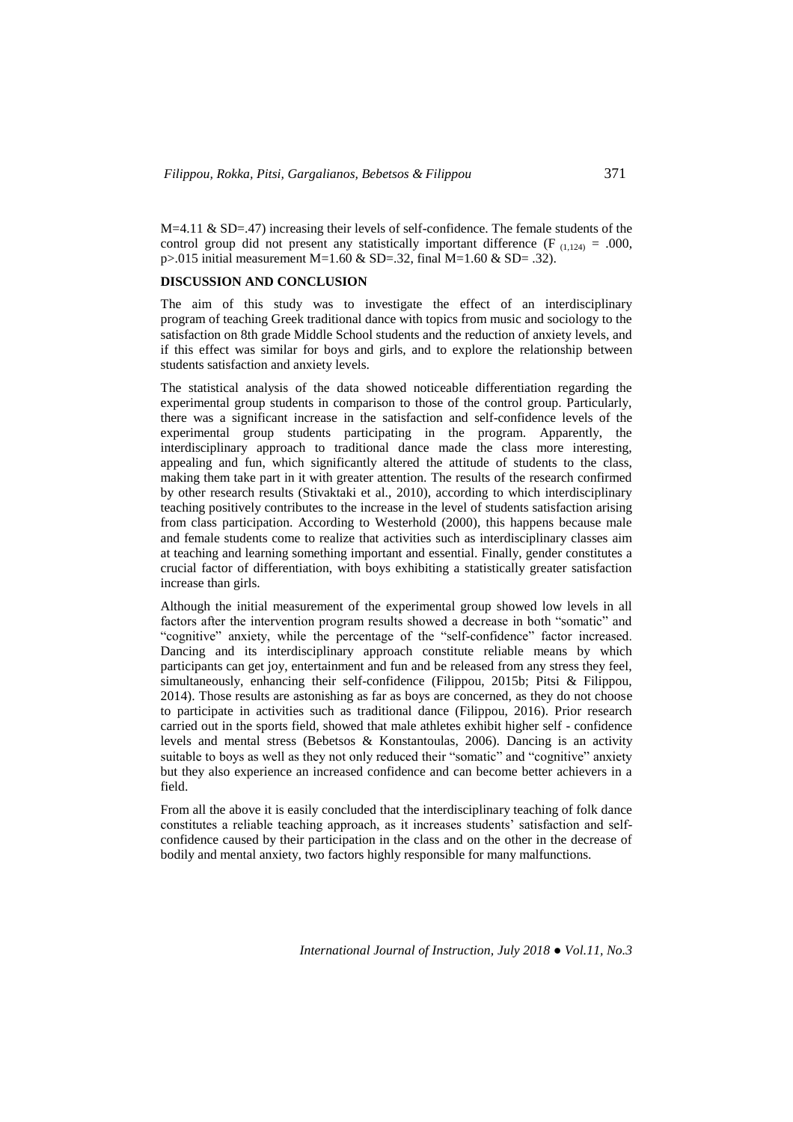$M=4.11$  & SD=.47) increasing their levels of self-confidence. The female students of the control group did not present any statistically important difference (F<sub>(1,124)</sub> = .000, p>.015 initial measurement M=1.60 & SD=.32, final M=1.60 & SD= .32).

### **DISCUSSION AND CONCLUSION**

The aim of this study was to investigate the effect of an interdisciplinary program of teaching Greek traditional dance with topics from music and sociology to the satisfaction on 8th grade Middle School students and the reduction of anxiety levels, and if this effect was similar for boys and girls, and to explore the relationship between students satisfaction and anxiety levels.

The statistical analysis of the data showed noticeable differentiation regarding the experimental group students in comparison to those of the control group. Particularly, there was a significant increase in the satisfaction and self-confidence levels of the experimental group students participating in the program. Apparently, the interdisciplinary approach to traditional dance made the class more interesting, appealing and fun, which significantly altered the attitude of students to the class, making them take part in it with greater attention. The results of the research confirmed by other research results (Stivaktaki et al., 2010), according to which interdisciplinary teaching positively contributes to the increase in the level of students satisfaction arising from class participation. According to Westerhold (2000), this happens because male and female students come to realize that activities such as interdisciplinary classes aim at teaching and learning something important and essential. Finally, gender constitutes a crucial factor of differentiation, with boys exhibiting a statistically greater satisfaction increase than girls.

Although the initial measurement of the experimental group showed low levels in all factors after the intervention program results showed a decrease in both "somatic" and "cognitive" anxiety, while the percentage of the "self-confidence" factor increased. Dancing and its interdisciplinary approach constitute reliable means by which participants can get joy, entertainment and fun and be released from any stress they feel, simultaneously, enhancing their self-confidence (Filippou, 2015b; Pitsi & Filippou, 2014). Those results are astonishing as far as boys are concerned, as they do not choose to participate in activities such as traditional dance (Filippou, 2016). Prior research carried out in the sports field, showed that male athletes exhibit higher self - confidence levels and mental stress (Bebetsos & Konstantoulas, 2006). Dancing is an activity suitable to boys as well as they not only reduced their "somatic" and "cognitive" anxiety but they also experience an increased confidence and can become better achievers in a field.

From all the above it is easily concluded that the interdisciplinary teaching of folk dance constitutes a reliable teaching approach, as it increases students' satisfaction and selfconfidence caused by their participation in the class and on the other in the decrease of bodily and mental anxiety, two factors highly responsible for many malfunctions.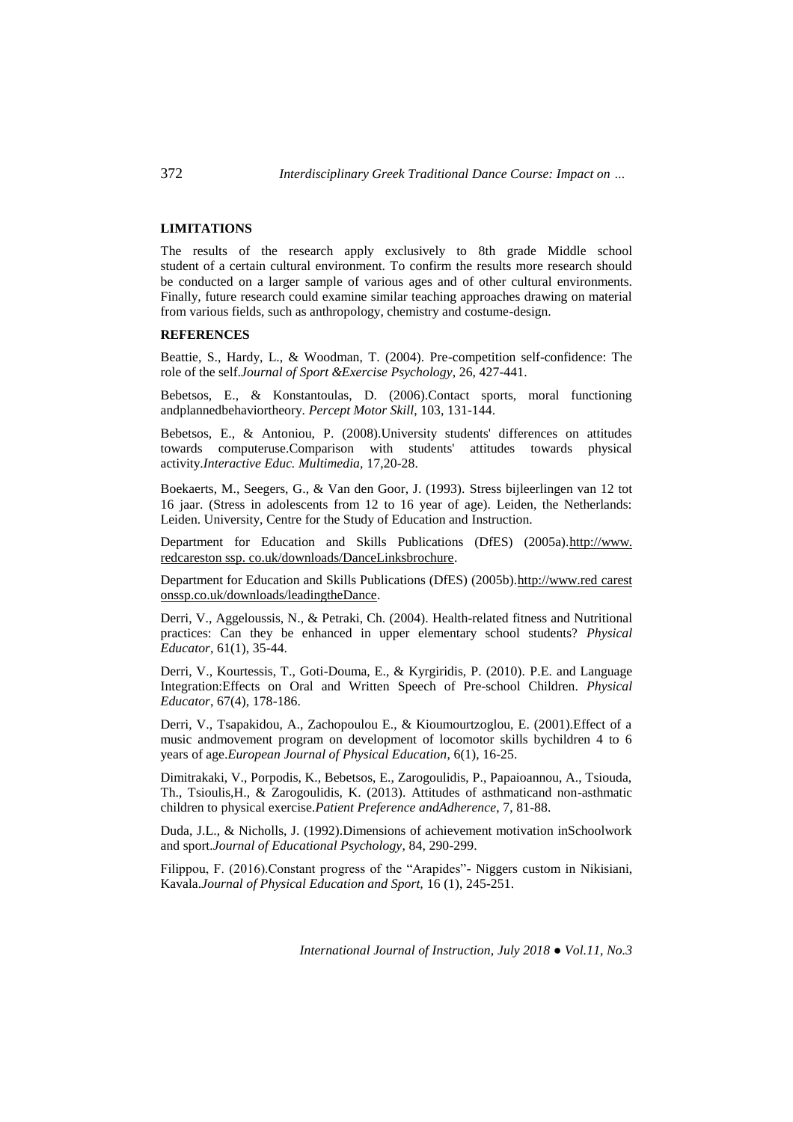### **LIMITATIONS**

The results of the research apply exclusively to 8th grade Middle school student of a certain cultural environment. To confirm the results more research should be conducted on a larger sample of various ages and of other cultural environments. Finally, future research could examine similar teaching approaches drawing on material from various fields, such as anthropology, chemistry and costume-design.

## **REFERENCES**

Beattie, S., Hardy, L., & Woodman, T. (2004). Pre-competition self-confidence: The role of the self.*Journal of Sport &Exercise Psychology*, 26, 427-441.

Bebetsos, E., & Konstantoulas, D. (2006).Contact sports, moral functioning andplannedbehaviortheory. *Percept Motor Skill*, 103, 131-144.

Bebetsos, E., & Antoniou, P. (2008).University students' differences on attitudes towards computeruse.Comparison with students' attitudes towards physical activity.*Interactive Educ. Multimedia,* 17,20-28.

Boekaerts, M., Seegers, G., & Van den Goor, J. (1993). Stress bijleerlingen van 12 tot 16 jaar. (Stress in adolescents from 12 to 16 year of age). Leiden, the Netherlands: Leiden. University, Centre for the Study of Education and Instruction.

Department for Education and Skills Publications (DfES) (2005a).http://www. redcareston ssp. co.uk/downloads/DanceLinksbrochure.

Department for Education and Skills Publications (DfES) (2005b).http://www.red carest onssp.co.uk/downloads/leadingtheDance.

Derri, V., Aggeloussis, N., & Petraki, Ch. (2004). Health-related fitness and Nutritional practices: Can they be enhanced in upper elementary school students? *Physical Educator*, 61(1), 35-44.

Derri, V., Kourtessis, T., Goti-Douma, E., & Kyrgiridis, P. (2010). P.E. and Language Integration:Effects on Oral and Written Speech of Pre-school Children. *Physical Educator*, 67(4), 178-186.

Derri, V., Tsapakidou, A., Zachopoulou E., & Kioumourtzoglou, E. (2001).Effect of a music andmovement program on development of locomotor skills bychildren 4 to 6 years of age.*European Journal of Physical Education*, 6(1), 16-25.

Dimitrakaki, V., Porpodis, K., Bebetsos, E., Zarogoulidis, P., Papaioannou, A., Tsiouda, Th., Tsioulis,H., & Zarogoulidis, K. (2013). Attitudes of asthmaticand non-asthmatic children to physical exercise.*Patient Preference andAdherence*, 7, 81-88.

Duda, J.L., & Nicholls, J. (1992).Dimensions of achievement motivation inSchoolwork and sport.*Journal of Educational Psychology*, 84, 290-299.

Filippou, F. (2016).Constant progress of the "Arapides"- Niggers custom in Nikisiani, Kavala.*Journal of Physical Education and Sport,* 16 (1), 245-251.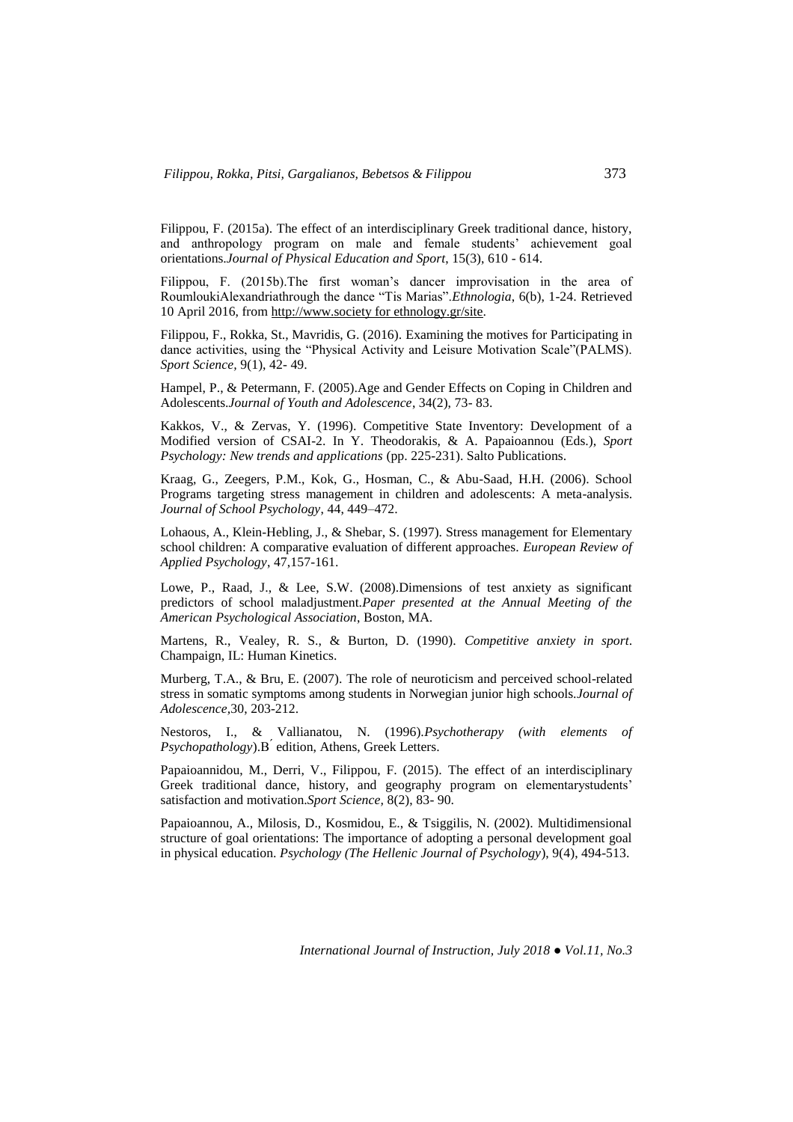Filippou, F. (2015a). The effect of an interdisciplinary Greek traditional dance, history, and anthropology program on male and female students' achievement goal orientations.*Journal of Physical Education and Sport*, 15(3), 610 - 614.

Filippou, F. (2015b).The first woman's dancer improvisation in the area of RoumloukiAlexandriathrough the dance "Tis Marias".*Ethnologia*, 6(b), 1-24. Retrieved 10 April 2016, from http://www.society for ethnology.gr/site.

Filippou, F., Rokka, St., Mavridis, G. (2016). Examining the motives for Participating in dance activities, using the "Physical Activity and Leisure Motivation Scale"(PALMS). *Sport Science,* 9(1), 42- 49.

Hampel, P., & Petermann, F. (2005).Age and Gender Effects on Coping in Children and Adolescents.*Journal of Youth and Adolescence*, 34(2), 73- 83.

Kakkos, V., & Zervas, Y. (1996). Competitive State Inventory: Development of a Modified version of CSAI-2. In Y. Theodorakis, & A. Papaioannou (Eds.), *Sport Psychology: New trends and applications* (pp. 225-231). Salto Publications.

Kraag, G., Zeegers, P.M., Kok, G., Hosman, C., & Abu-Saad, H.H. (2006). School Programs targeting stress management in children and adolescents: A meta-analysis. *Journal of School Psychology*, 44, 449–472.

Lohaous, A., Klein-Hebling, J., & Shebar, S. (1997). Stress management for Elementary school children: A comparative evaluation of different approaches. *European Review of Applied Psychology*, 47,157-161.

Lowe, P., Raad, J., & Lee, S.W. (2008).Dimensions of test anxiety as significant predictors of school maladjustment.*Paper presented at the Annual Meeting of the American Psychological Association*, Boston, MA.

Martens, R., Vealey, R. S., & Burton, D. (1990). *Competitive anxiety in sport*. Champaign, IL: Human Kinetics.

Murberg, Τ.Α., & Bru, E. (2007). The role of neuroticism and perceived school-related stress in somatic symptoms among students in Norwegian junior high schools.*Journal of Adolescence,*30, 203-212.

Nestoros, I., & Vallianatou, N. (1996).*Psychotherapy (with elements of Psychopathology*).Β ́ edition, Athens, Greek Letters.

Papaioannidou, M., Derri, V., Filippou, F. (2015). The effect of an interdisciplinary Greek traditional dance, history, and geography program on elementarystudents' satisfaction and motivation.*Sport Science,* 8(2), 83- 90.

Papaioannou, A., Milosis, D., Kosmidou, E., & Tsiggilis, N. (2002). Multidimensional structure of goal orientations: The importance of adopting a personal development goal in physical education. *Psychology (The Hellenic Journal of Psychology*), 9(4), 494-513.